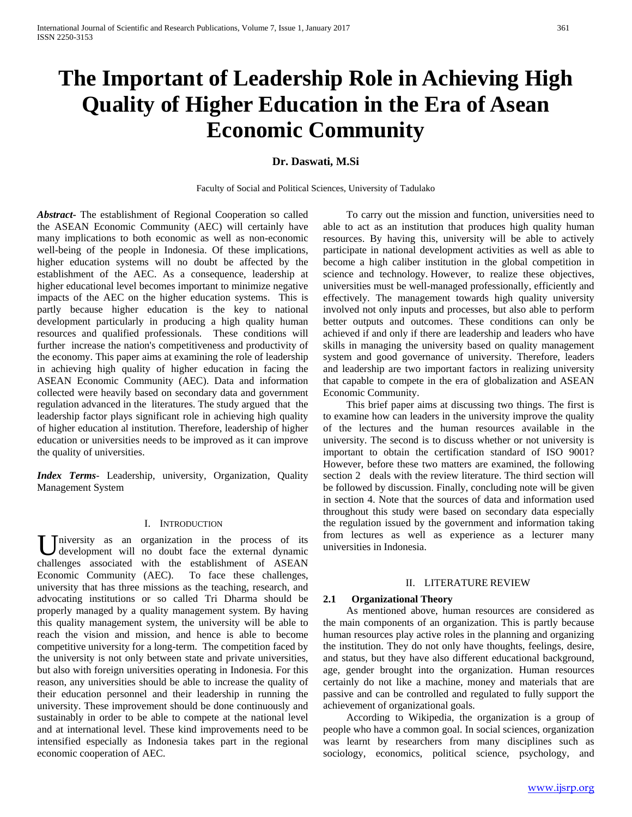# **The Important of Leadership Role in Achieving High Quality of Higher Education in the Era of Asean Economic Community**

# **Dr. Daswati, M.Si**

Faculty of Social and Political Sciences, University of Tadulako

*Abstract***-** The establishment of Regional Cooperation so called the ASEAN Economic Community (AEC) will certainly have many implications to both economic as well as non-economic well-being of the people in Indonesia. Of these implications, higher education systems will no doubt be affected by the establishment of the AEC. As a consequence, leadership at higher educational level becomes important to minimize negative impacts of the AEC on the higher education systems. This is partly because higher education is the key to national development particularly in producing a high quality human resources and qualified professionals. These conditions will further increase the nation's competitiveness and productivity of the economy. This paper aims at examining the role of leadership in achieving high quality of higher education in facing the ASEAN Economic Community (AEC). Data and information collected were heavily based on secondary data and government regulation advanced in the literatures. The study argued that the leadership factor plays significant role in achieving high quality of higher education al institution. Therefore, leadership of higher education or universities needs to be improved as it can improve the quality of universities.

*Index Terms*- Leadership, university, Organization, Quality Management System

#### I. INTRODUCTION

 $\bigcup$  niversity as an organization in the process of its development will no doubt face the external dynamic development will no doubt face the external dynamic challenges associated with the establishment of ASEAN Economic Community (AEC). To face these challenges, university that has three missions as the teaching, research, and advocating institutions or so called Tri Dharma should be properly managed by a quality management system. By having this quality management system, the university will be able to reach the vision and mission, and hence is able to become competitive university for a long-term. The competition faced by the university is not only between state and private universities, but also with foreign universities operating in Indonesia. For this reason, any universities should be able to increase the quality of their education personnel and their leadership in running the university. These improvement should be done continuously and sustainably in order to be able to compete at the national level and at international level. These kind improvements need to be intensified especially as Indonesia takes part in the regional economic cooperation of AEC.

 To carry out the mission and function, universities need to able to act as an institution that produces high quality human resources. By having this, university will be able to actively participate in national development activities as well as able to become a high caliber institution in the global competition in science and technology. However, to realize these objectives, universities must be well-managed professionally, efficiently and effectively. The management towards high quality university involved not only inputs and processes, but also able to perform better outputs and outcomes. These conditions can only be achieved if and only if there are leadership and leaders who have skills in managing the university based on quality management system and good governance of university. Therefore, leaders and leadership are two important factors in realizing university that capable to compete in the era of globalization and ASEAN Economic Community.

 This brief paper aims at discussing two things. The first is to examine how can leaders in the university improve the quality of the lectures and the human resources available in the university. The second is to discuss whether or not university is important to obtain the certification standard of ISO 9001? However, before these two matters are examined, the following section 2 deals with the review literature. The third section will be followed by discussion. Finally, concluding note will be given in section 4. Note that the sources of data and information used throughout this study were based on secondary data especially the regulation issued by the government and information taking from lectures as well as experience as a lecturer many universities in Indonesia.

#### II. LITERATURE REVIEW

#### **2.1 Organizational Theory**

 As mentioned above, human resources are considered as the main components of an organization. This is partly because human resources play active roles in the planning and organizing the institution. They do not only have thoughts, feelings, desire, and status, but they have also different educational background, age, gender brought into the organization. Human resources certainly do not like a machine, money and materials that are passive and can be controlled and regulated to fully support the achievement of organizational goals.

 According to Wikipedia, the organization is a group of people who have a common goal. In social sciences, organization was learnt by researchers from many disciplines such as sociology, economics, political science, psychology, and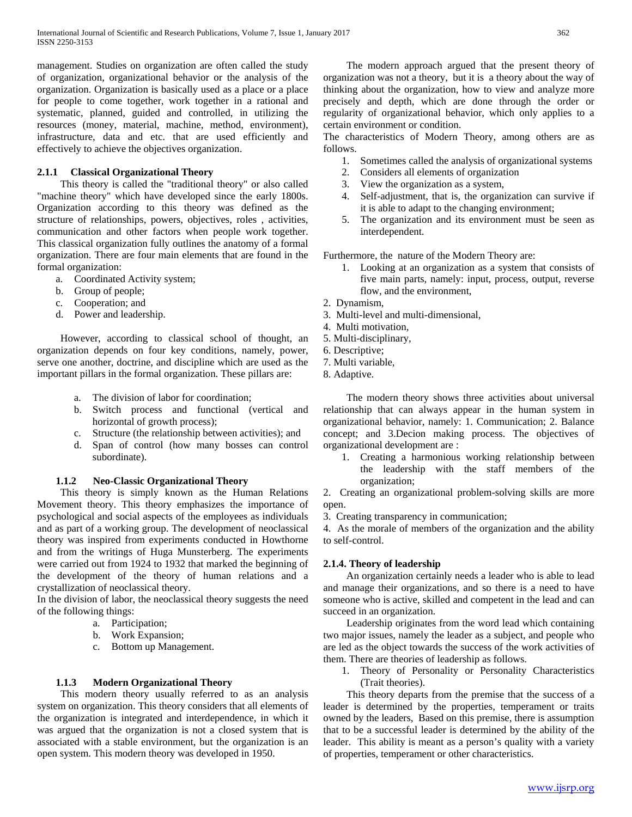management. Studies on organization are often called the study of organization, organizational behavior or the analysis of the organization. Organization is basically used as a place or a place for people to come together, work together in a rational and systematic, planned, guided and controlled, in utilizing the resources (money, material, machine, method, environment), infrastructure, data and etc. that are used efficiently and effectively to achieve the objectives organization.

# **2.1.1 Classical Organizational Theory**

 This theory is called the "traditional theory" or also called "machine theory" which have developed since the early 1800s. Organization according to this theory was defined as the structure of relationships, powers, objectives, roles , activities, communication and other factors when people work together. This classical organization fully outlines the anatomy of a formal organization. There are four main elements that are found in the formal organization:

- a. Coordinated Activity system;
- b. Group of people;
- c. Cooperation; and
- d. Power and leadership.

 However, according to classical school of thought, an organization depends on four key conditions, namely, power, serve one another, doctrine, and discipline which are used as the important pillars in the formal organization. These pillars are:

- a. The division of labor for coordination;
- b. Switch process and functional (vertical and horizontal of growth process);
- c. Structure (the relationship between activities); and
- d. Span of control (how many bosses can control subordinate).

### **1.1.2 Neo-Classic Organizational Theory**

 This theory is simply known as the Human Relations Movement theory. This theory emphasizes the importance of psychological and social aspects of the employees as individuals and as part of a working group. The development of neoclassical theory was inspired from experiments conducted in Howthorne and from the writings of Huga Munsterberg. The experiments were carried out from 1924 to 1932 that marked the beginning of the development of the theory of human relations and a crystallization of neoclassical theory.

In the division of labor, the neoclassical theory suggests the need of the following things:

- a. Participation;
- b. Work Expansion;
- c. Bottom up Management.

### **1.1.3 Modern Organizational Theory**

 This modern theory usually referred to as an analysis system on organization. This theory considers that all elements of the organization is integrated and interdependence, in which it was argued that the organization is not a closed system that is associated with a stable environment, but the organization is an open system. This modern theory was developed in 1950.

 The modern approach argued that the present theory of organization was not a theory, but it is a theory about the way of thinking about the organization, how to view and analyze more precisely and depth, which are done through the order or regularity of organizational behavior, which only applies to a certain environment or condition.

The characteristics of Modern Theory, among others are as follows.

- 1. Sometimes called the analysis of organizational systems
- 2. Considers all elements of organization
- 3. View the organization as a system,
- 4. Self-adjustment, that is, the organization can survive if it is able to adapt to the changing environment;
- 5. The organization and its environment must be seen as interdependent.

Furthermore, the nature of the Modern Theory are:

- 1. Looking at an organization as a system that consists of five main parts, namely: input, process, output, reverse flow, and the environment,
- 2. Dynamism,
- 3. Multi-level and multi-dimensional,
- 4. Multi motivation,
- 5. Multi-disciplinary,
- 6. Descriptive;
- 7. Multi variable,
- 8. Adaptive.

 The modern theory shows three activities about universal relationship that can always appear in the human system in organizational behavior, namely: 1. Communication; 2. Balance concept; and 3.Decion making process. The objectives of organizational development are :

1. Creating a harmonious working relationship between the leadership with the staff members of the organization;

2. Creating an organizational problem-solving skills are more open.

3. Creating transparency in communication;

4. As the morale of members of the organization and the ability to self-control.

### **2.1.4. Theory of leadership**

 An organization certainly needs a leader who is able to lead and manage their organizations, and so there is a need to have someone who is active, skilled and competent in the lead and can succeed in an organization.

 Leadership originates from the word lead which containing two major issues, namely the leader as a subject, and people who are led as the object towards the success of the work activities of them. There are theories of leadership as follows.

1. Theory of Personality or Personality Characteristics (Trait theories).

 This theory departs from the premise that the success of a leader is determined by the properties, temperament or traits owned by the leaders, Based on this premise, there is assumption that to be a successful leader is determined by the ability of the leader. This ability is meant as a person's quality with a variety of properties, temperament or other characteristics.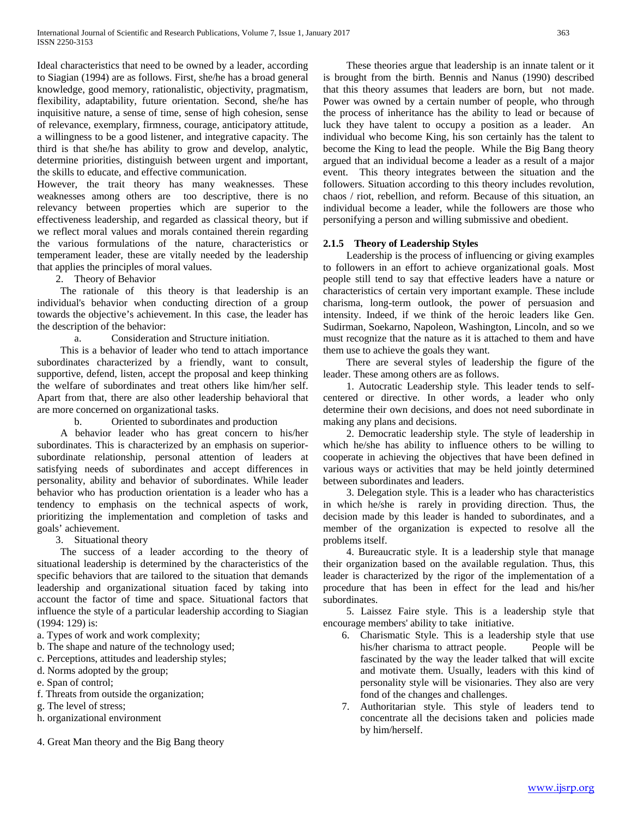Ideal characteristics that need to be owned by a leader, according to Siagian (1994) are as follows. First, she/he has a broad general knowledge, good memory, rationalistic, objectivity, pragmatism, flexibility, adaptability, future orientation. Second, she/he has inquisitive nature, a sense of time, sense of high cohesion, sense of relevance, exemplary, firmness, courage, anticipatory attitude, a willingness to be a good listener, and integrative capacity. The third is that she/he has ability to grow and develop, analytic, determine priorities, distinguish between urgent and important, the skills to educate, and effective communication.

However, the trait theory has many weaknesses. These weaknesses among others are too descriptive, there is no relevancy between properties which are superior to the effectiveness leadership, and regarded as classical theory, but if we reflect moral values and morals contained therein regarding the various formulations of the nature, characteristics or temperament leader, these are vitally needed by the leadership that applies the principles of moral values.

2. Theory of Behavior

 The rationale of this theory is that leadership is an individual's behavior when conducting direction of a group towards the objective's achievement. In this case, the leader has the description of the behavior:

a. Consideration and Structure initiation.

 This is a behavior of leader who tend to attach importance subordinates characterized by a friendly, want to consult, supportive, defend, listen, accept the proposal and keep thinking the welfare of subordinates and treat others like him/her self. Apart from that, there are also other leadership behavioral that are more concerned on organizational tasks.

b. Oriented to subordinates and production

 A behavior leader who has great concern to his/her subordinates. This is characterized by an emphasis on superiorsubordinate relationship, personal attention of leaders at satisfying needs of subordinates and accept differences in personality, ability and behavior of subordinates. While leader behavior who has production orientation is a leader who has a tendency to emphasis on the technical aspects of work, prioritizing the implementation and completion of tasks and goals' achievement.

3. Situational theory

 The success of a leader according to the theory of situational leadership is determined by the characteristics of the specific behaviors that are tailored to the situation that demands leadership and organizational situation faced by taking into account the factor of time and space. Situational factors that influence the style of a particular leadership according to Siagian (1994: 129) is:

a. Types of work and work complexity;

b. The shape and nature of the technology used;

c. Perceptions, attitudes and leadership styles;

d. Norms adopted by the group;

e. Span of control;

f. Threats from outside the organization;

g. The level of stress;

h. organizational environment

4. Great Man theory and the Big Bang theory

 These theories argue that leadership is an innate talent or it is brought from the birth. Bennis and Nanus (1990) described that this theory assumes that leaders are born, but not made. Power was owned by a certain number of people, who through the process of inheritance has the ability to lead or because of luck they have talent to occupy a position as a leader. An individual who become King, his son certainly has the talent to become the King to lead the people. While the Big Bang theory argued that an individual become a leader as a result of a major event. This theory integrates between the situation and the followers. Situation according to this theory includes revolution, chaos / riot, rebellion, and reform. Because of this situation, an individual become a leader, while the followers are those who personifying a person and willing submissive and obedient.

## **2.1.5 Theory of Leadership Styles**

 Leadership is the process of influencing or giving examples to followers in an effort to achieve organizational goals. Most people still tend to say that effective leaders have a nature or characteristics of certain very important example. These include charisma, long-term outlook, the power of persuasion and intensity. Indeed, if we think of the heroic leaders like Gen. Sudirman, Soekarno, Napoleon, Washington, Lincoln, and so we must recognize that the nature as it is attached to them and have them use to achieve the goals they want.

 There are several styles of leadership the figure of the leader. These among others are as follows.

 1. Autocratic Leadership style. This leader tends to selfcentered or directive. In other words, a leader who only determine their own decisions, and does not need subordinate in making any plans and decisions.

 2. Democratic leadership style. The style of leadership in which he/she has ability to influence others to be willing to cooperate in achieving the objectives that have been defined in various ways or activities that may be held jointly determined between subordinates and leaders.

 3. Delegation style. This is a leader who has characteristics in which he/she is rarely in providing direction. Thus, the decision made by this leader is handed to subordinates, and a member of the organization is expected to resolve all the problems itself.

 4. Bureaucratic style. It is a leadership style that manage their organization based on the available regulation. Thus, this leader is characterized by the rigor of the implementation of a procedure that has been in effect for the lead and his/her subordinates.

 5. Laissez Faire style. This is a leadership style that encourage members' ability to take initiative.

- 6. Charismatic Style. This is a leadership style that use his/her charisma to attract people. People will be fascinated by the way the leader talked that will excite and motivate them. Usually, leaders with this kind of personality style will be visionaries. They also are very fond of the changes and challenges.
- 7. Authoritarian style. This style of leaders tend to concentrate all the decisions taken and policies made by him/herself.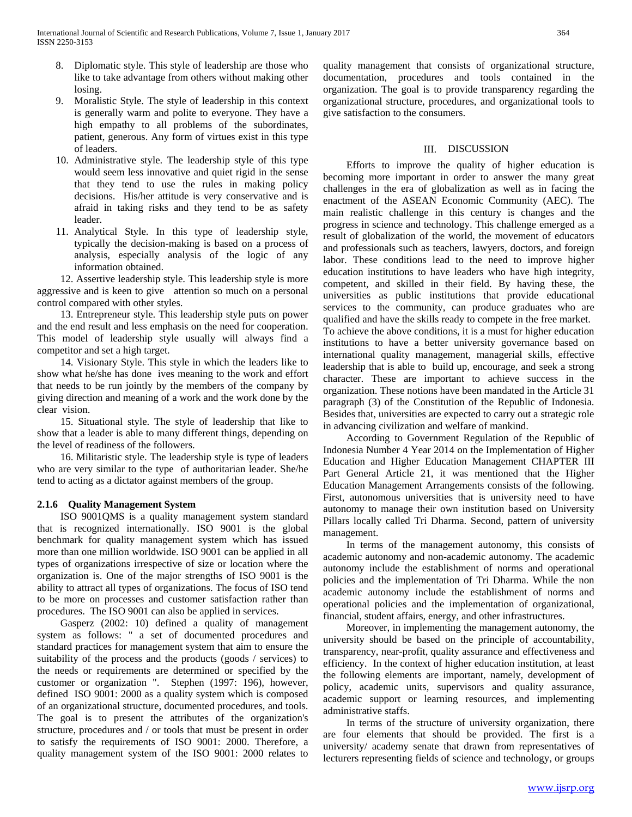- 8. Diplomatic style. This style of leadership are those who like to take advantage from others without making other losing.
- 9. Moralistic Style. The style of leadership in this context is generally warm and polite to everyone. They have a high empathy to all problems of the subordinates, patient, generous. Any form of virtues exist in this type of leaders.
- 10. Administrative style. The leadership style of this type would seem less innovative and quiet rigid in the sense that they tend to use the rules in making policy decisions. His/her attitude is very conservative and is afraid in taking risks and they tend to be as safety leader.
- 11. Analytical Style. In this type of leadership style, typically the decision-making is based on a process of analysis, especially analysis of the logic of any information obtained.

 12. Assertive leadership style. This leadership style is more aggressive and is keen to give attention so much on a personal control compared with other styles.

 13. Entrepreneur style. This leadership style puts on power and the end result and less emphasis on the need for cooperation. This model of leadership style usually will always find a competitor and set a high target.

 14. Visionary Style. This style in which the leaders like to show what he/she has done ives meaning to the work and effort that needs to be run jointly by the members of the company by giving direction and meaning of a work and the work done by the clear vision.

 15. Situational style. The style of leadership that like to show that a leader is able to many different things, depending on the level of readiness of the followers.

 16. Militaristic style. The leadership style is type of leaders who are very similar to the type of authoritarian leader. She/he tend to acting as a dictator against members of the group.

# **2.1.6 Quality Management System**

 ISO 9001QMS is a quality management system standard that is recognized internationally. ISO 9001 is the global benchmark for quality management system which has issued more than one million worldwide. ISO 9001 can be applied in all types of organizations irrespective of size or location where the organization is. One of the major strengths of ISO 9001 is the ability to attract all types of organizations. The focus of ISO tend to be more on processes and customer satisfaction rather than procedures. The ISO 9001 can also be applied in services.

 Gasperz (2002: 10) defined a quality of management system as follows: " a set of documented procedures and standard practices for management system that aim to ensure the suitability of the process and the products (goods / services) to the needs or requirements are determined or specified by the customer or organization ". Stephen (1997: 196), however, defined ISO 9001: 2000 as a quality system which is composed of an organizational structure, documented procedures, and tools. The goal is to present the attributes of the organization's structure, procedures and / or tools that must be present in order to satisfy the requirements of ISO 9001: 2000. Therefore, a quality management system of the ISO 9001: 2000 relates to quality management that consists of organizational structure, documentation, procedures and tools contained in the organization. The goal is to provide transparency regarding the organizational structure, procedures, and organizational tools to give satisfaction to the consumers.

### III. DISCUSSION

 Efforts to improve the quality of higher education is becoming more important in order to answer the many great challenges in the era of globalization as well as in facing the enactment of the ASEAN Economic Community (AEC). The main realistic challenge in this century is changes and the progress in science and technology. This challenge emerged as a result of globalization of the world, the movement of educators and professionals such as teachers, lawyers, doctors, and foreign labor. These conditions lead to the need to improve higher education institutions to have leaders who have high integrity, competent, and skilled in their field. By having these, the universities as public institutions that provide educational services to the community, can produce graduates who are qualified and have the skills ready to compete in the free market. To achieve the above conditions, it is a must for higher education institutions to have a better university governance based on international quality management, managerial skills, effective leadership that is able to build up, encourage, and seek a strong character. These are important to achieve success in the organization. These notions have been mandated in the Article 31 paragraph (3) of the Constitution of the Republic of Indonesia. Besides that, universities are expected to carry out a strategic role in advancing civilization and welfare of mankind.

 According to Government Regulation of the Republic of Indonesia Number 4 Year 2014 on the Implementation of Higher Education and Higher Education Management CHAPTER III Part General Article 21, it was mentioned that the Higher Education Management Arrangements consists of the following. First, autonomous universities that is university need to have autonomy to manage their own institution based on University Pillars locally called Tri Dharma. Second, pattern of university management.

 In terms of the management autonomy, this consists of academic autonomy and non-academic autonomy. The academic autonomy include the establishment of norms and operational policies and the implementation of Tri Dharma. While the non academic autonomy include the establishment of norms and operational policies and the implementation of organizational, financial, student affairs, energy, and other infrastructures.

 Moreover, in implementing the management autonomy, the university should be based on the principle of accountability, transparency, near-profit, quality assurance and effectiveness and efficiency. In the context of higher education institution, at least the following elements are important, namely, development of policy, academic units, supervisors and quality assurance, academic support or learning resources, and implementing administrative staffs.

 In terms of the structure of university organization, there are four elements that should be provided. The first is a university/ academy senate that drawn from representatives of lecturers representing fields of science and technology, or groups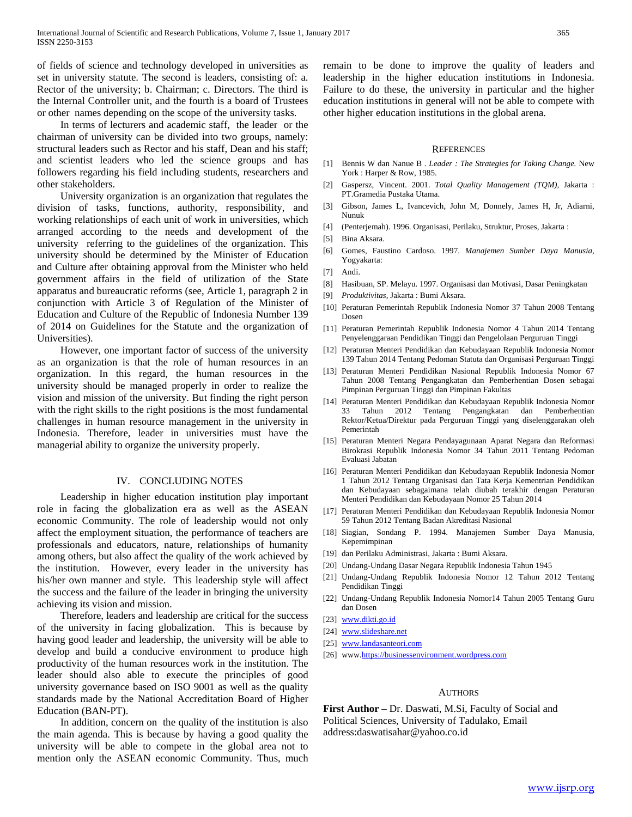of fields of science and technology developed in universities as set in university statute. The second is leaders, consisting of: a. Rector of the university; b. Chairman; c. Directors. The third is the Internal Controller unit, and the fourth is a board of Trustees or other names depending on the scope of the university tasks.

 In terms of lecturers and academic staff, the leader or the chairman of university can be divided into two groups, namely: structural leaders such as Rector and his staff, Dean and his staff; and scientist leaders who led the science groups and has followers regarding his field including students, researchers and other stakeholders.

 University organization is an organization that regulates the division of tasks, functions, authority, responsibility, and working relationships of each unit of work in universities, which arranged according to the needs and development of the university referring to the guidelines of the organization. This university should be determined by the Minister of Education and Culture after obtaining approval from the Minister who held government affairs in the field of utilization of the State apparatus and bureaucratic reforms (see, Article 1, paragraph 2 in conjunction with Article 3 of Regulation of the Minister of Education and Culture of the Republic of Indonesia Number 139 of 2014 on Guidelines for the Statute and the organization of Universities).

 However, one important factor of success of the university as an organization is that the role of human resources in an organization. In this regard, the human resources in the university should be managed properly in order to realize the vision and mission of the university. But finding the right person with the right skills to the right positions is the most fundamental challenges in human resource management in the university in Indonesia. Therefore, leader in universities must have the managerial ability to organize the university properly.

### IV. CONCLUDING NOTES

 Leadership in higher education institution play important role in facing the globalization era as well as the ASEAN economic Community. The role of leadership would not only affect the employment situation, the performance of teachers are professionals and educators, nature, relationships of humanity among others, but also affect the quality of the work achieved by the institution. However, every leader in the university has his/her own manner and style. This leadership style will affect the success and the failure of the leader in bringing the university achieving its vision and mission.

 Therefore, leaders and leadership are critical for the success of the university in facing globalization. This is because by having good leader and leadership, the university will be able to develop and build a conducive environment to produce high productivity of the human resources work in the institution. The leader should also able to execute the principles of good university governance based on ISO 9001 as well as the quality standards made by the National Accreditation Board of Higher Education (BAN-PT).

 In addition, concern on the quality of the institution is also the main agenda. This is because by having a good quality the university will be able to compete in the global area not to mention only the ASEAN economic Community. Thus, much

remain to be done to improve the quality of leaders and leadership in the higher education institutions in Indonesia. Failure to do these, the university in particular and the higher education institutions in general will not be able to compete with other higher education institutions in the global arena.

#### **REFERENCES**

- [1] Bennis W dan Nanue B . *Leader : The Strategies for Taking Change.* New York : Harper & Row, 1985.
- [2] Gaspersz, Vincent. 2001. *Total Quality Management (TQM),* Jakarta : PT.Gramedia Pustaka Utama.
- [3] Gibson, James L, Ivancevich, John M, Donnely, James H, Jr, Adiarni, Nunuk
- [4] (Penterjemah). 1996. Organisasi, Perilaku, Struktur, Proses, Jakarta :
- [5] Bina Aksara.
- [6] Gomes, Faustino Cardoso. 1997. *Manajemen Sumber Daya Manusia*, Yogyakarta:
- [7] Andi.
- [8] Hasibuan, SP. Melayu. 1997. Organisasi dan Motivasi, Dasar Peningkatan
- [9] *Produktivitas,* Jakarta : Bumi Aksara.
- [10] Peraturan Pemerintah Republik Indonesia Nomor 37 Tahun 2008 Tentang Dosen
- [11] Peraturan Pemerintah Republik Indonesia Nomor 4 Tahun 2014 Tentang Penyelenggaraan Pendidikan Tinggi dan Pengelolaan Perguruan Tinggi
- [12] Peraturan Menteri Pendidikan dan Kebudayaan Republik Indonesia Nomor 139 Tahun 2014 Tentang Pedoman Statuta dan Organisasi Perguruan Tinggi
- [13] Peraturan Menteri Pendidikan Nasional Republik Indonesia Nomor 67 Tahun 2008 Tentang Pengangkatan dan Pemberhentian Dosen sebagai Pimpinan Perguruan Tinggi dan Pimpinan Fakultas
- [14] Peraturan Menteri Pendidikan dan Kebudayaan Republik Indonesia Nomor 33 Tahun 2012 Tentang Pengangkatan dan Pemberhentian Rektor/Ketua/Direktur pada Perguruan Tinggi yang diselenggarakan oleh Pemerintah
- [15] Peraturan Menteri Negara Pendayagunaan Aparat Negara dan Reformasi Birokrasi Republik Indonesia Nomor 34 Tahun 2011 Tentang Pedoman Evaluasi Jabatan
- [16] Peraturan Menteri Pendidikan dan Kebudayaan Republik Indonesia Nomor 1 Tahun 2012 Tentang Organisasi dan Tata Kerja Kementrian Pendidikan dan Kebudayaan sebagaimana telah diubah terakhir dengan Peraturan Menteri Pendidikan dan Kebudayaan Nomor 25 Tahun 2014
- [17] Peraturan Menteri Pendidikan dan Kebudayaan Republik Indonesia Nomor 59 Tahun 2012 Tentang Badan Akreditasi Nasional
- [18] Siagian, Sondang P. 1994. Manajemen Sumber Daya Manusia, Kepemimpinan
- [19] dan Perilaku Administrasi, Jakarta : Bumi Aksara.
- [20] Undang-Undang Dasar Negara Republik Indonesia Tahun 1945
- [21] Undang-Undang Republik Indonesia Nomor 12 Tahun 2012 Tentang Pendidikan Tinggi
- [22] Undang-Undang Republik Indonesia Nomor14 Tahun 2005 Tentang Guru dan Dosen
- [23] [www.dikti.go.id](http://www.dikti.go.id/)
- [24] www.slideshare.net
- [25] [www.landasanteori.com](http://www.landasanteori.com/)
- [26] ww[w.https://businessenvironment.wordpress.com](https://businessenvironment.wordpress.com/)

#### AUTHORS

**First Author** – Dr. Daswati, M.Si, Faculty of Social and Political Sciences, University of Tadulako, Email address:daswatisahar@yahoo.co.id